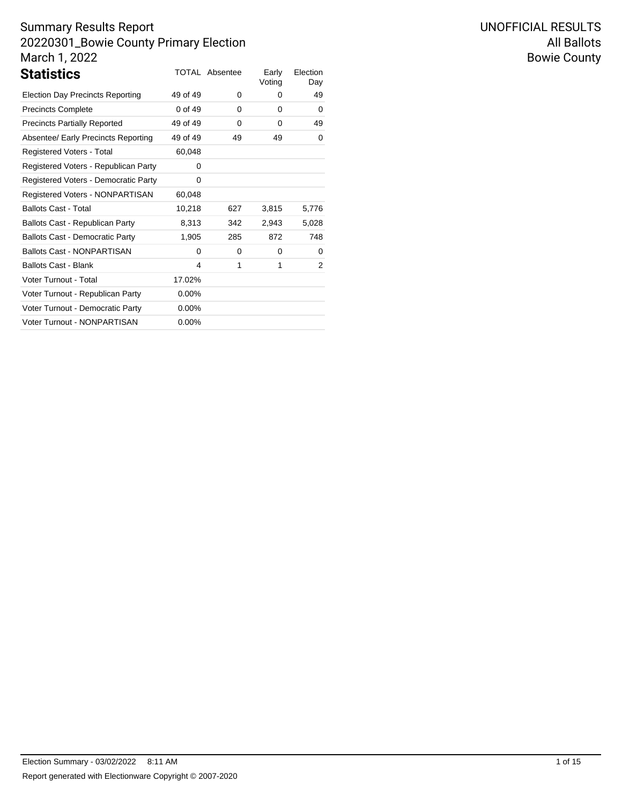| <b>Statistics</b>                       |          | <b>TOTAL Absentee</b> | Early<br>Voting | Election<br>Day |
|-----------------------------------------|----------|-----------------------|-----------------|-----------------|
| <b>Election Day Precincts Reporting</b> | 49 of 49 | 0                     | 0               | 49              |
| <b>Precincts Complete</b>               | 0 of 49  | 0                     | 0               | 0               |
| <b>Precincts Partially Reported</b>     | 49 of 49 | 0                     | 0               | 49              |
| Absentee/ Early Precincts Reporting     | 49 of 49 | 49                    | 49              | 0               |
| Registered Voters - Total               | 60,048   |                       |                 |                 |
| Registered Voters - Republican Party    | 0        |                       |                 |                 |
| Registered Voters - Democratic Party    | 0        |                       |                 |                 |
| Registered Voters - NONPARTISAN         | 60,048   |                       |                 |                 |
| <b>Ballots Cast - Total</b>             | 10,218   | 627                   | 3,815           | 5,776           |
| Ballots Cast - Republican Party         | 8,313    | 342                   | 2,943           | 5,028           |
| <b>Ballots Cast - Democratic Party</b>  | 1,905    | 285                   | 872             | 748             |
| <b>Ballots Cast - NONPARTISAN</b>       | 0        | 0                     | 0               | 0               |
| <b>Ballots Cast - Blank</b>             | 4        | 1                     | 1               | 2               |
| Voter Turnout - Total                   | 17.02%   |                       |                 |                 |
| Voter Turnout - Republican Party        | $0.00\%$ |                       |                 |                 |
| Voter Turnout - Democratic Party        | $0.00\%$ |                       |                 |                 |
| Voter Turnout - NONPARTISAN             | $0.00\%$ |                       |                 |                 |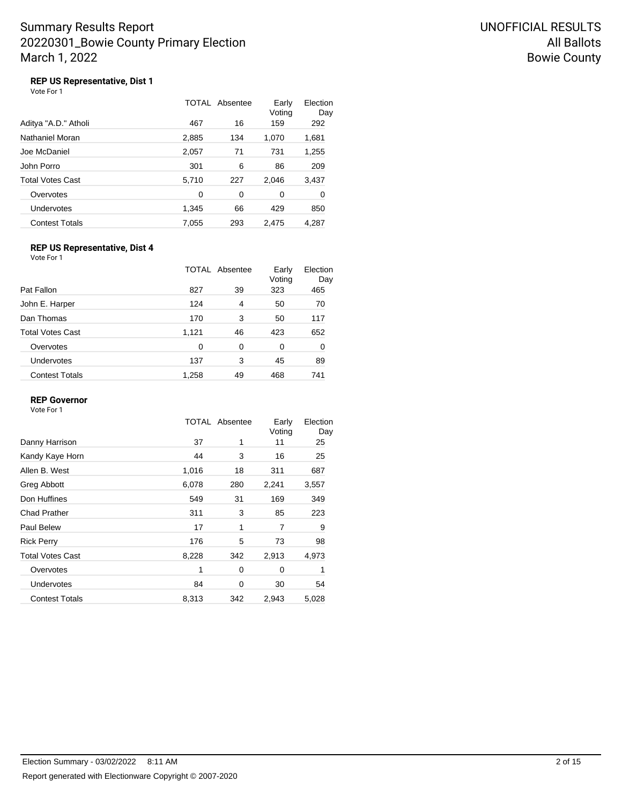# **REP US Representative, Dist 1**

|  | Vote For 1 |  |  |  |
|--|------------|--|--|--|
|--|------------|--|--|--|

|                       |       | TOTAL Absentee | Early<br>Voting | Election<br>Day |
|-----------------------|-------|----------------|-----------------|-----------------|
| Aditya "A.D." Atholi  | 467   | 16             | 159             | 292             |
| Nathaniel Moran       | 2,885 | 134            | 1,070           | 1,681           |
| Joe McDaniel          | 2,057 | 71             | 731             | 1,255           |
| John Porro            | 301   | 6              | 86              | 209             |
| Total Votes Cast      | 5,710 | 227            | 2,046           | 3,437           |
| Overvotes             | 0     | 0              | 0               | 0               |
| Undervotes            | 1,345 | 66             | 429             | 850             |
| <b>Contest Totals</b> | 7,055 | 293            | 2,475           | 4.287           |

## **REP US Representative, Dist 4**

Vote For 1

|                         |       | TOTAL Absentee | Early<br>Voting | Election<br>Day |
|-------------------------|-------|----------------|-----------------|-----------------|
| Pat Fallon              | 827   | 39             | 323             | 465             |
| John E. Harper          | 124   | 4              | 50              | 70              |
| Dan Thomas              | 170   | 3              | 50              | 117             |
| <b>Total Votes Cast</b> | 1,121 | 46             | 423             | 652             |
| Overvotes               | 0     | 0              | 0               | 0               |
| Undervotes              | 137   | 3              | 45              | 89              |
| <b>Contest Totals</b>   | 1,258 | 49             | 468             | 741             |

#### **REP Governor**

|                         |       | TOTAL Absentee | Early<br>Voting | Election<br>Day |
|-------------------------|-------|----------------|-----------------|-----------------|
| Danny Harrison          | 37    | 1              | 11              | 25              |
| Kandy Kaye Horn         | 44    | 3              | 16              | 25              |
| Allen B. West           | 1,016 | 18             | 311             | 687             |
| Greg Abbott             | 6,078 | 280            | 2,241           | 3,557           |
| Don Huffines            | 549   | 31             | 169             | 349             |
| <b>Chad Prather</b>     | 311   | 3              | 85              | 223             |
| Paul Belew              | 17    | 1              | 7               | 9               |
| <b>Rick Perry</b>       | 176   | 5              | 73              | 98              |
| <b>Total Votes Cast</b> | 8,228 | 342            | 2,913           | 4,973           |
| Overvotes               | 1     | 0              | $\Omega$        | 1               |
| <b>Undervotes</b>       | 84    | 0              | 30              | 54              |
| <b>Contest Totals</b>   | 8,313 | 342            | 2,943           | 5,028           |
|                         |       |                |                 |                 |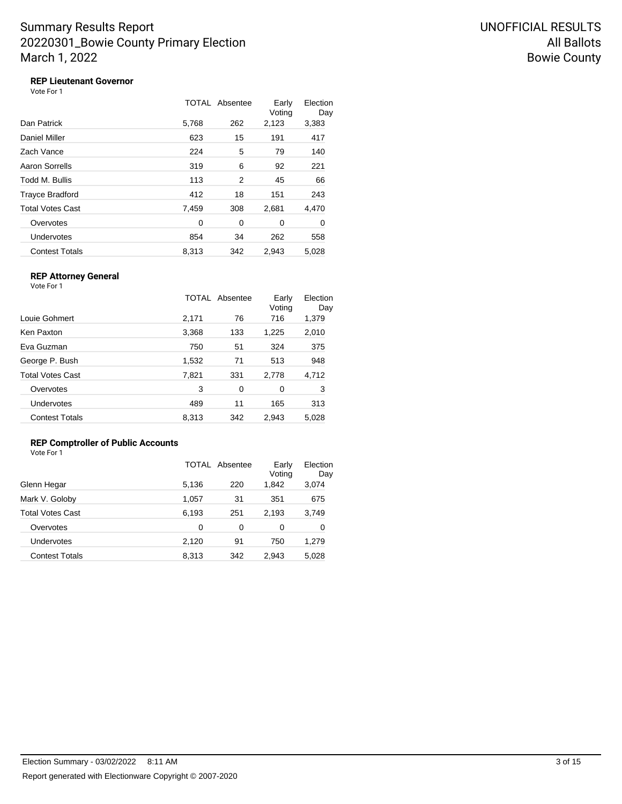## **REP Lieutenant Governor**

Vote For 1

|                       |       | <b>TOTAL Absentee</b> | Early<br>Voting | Election<br>Day |
|-----------------------|-------|-----------------------|-----------------|-----------------|
| Dan Patrick           | 5,768 | 262                   | 2,123           | 3,383           |
| Daniel Miller         | 623   | 15                    | 191             | 417             |
| Zach Vance            | 224   | 5                     | 79              | 140             |
| Aaron Sorrells        | 319   | 6                     | 92              | 221             |
| Todd M. Bullis        | 113   | 2                     | 45              | 66              |
| Trayce Bradford       | 412   | 18                    | 151             | 243             |
| Total Votes Cast      | 7,459 | 308                   | 2,681           | 4,470           |
| Overvotes             | 0     | 0                     | 0               | 0               |
| Undervotes            | 854   | 34                    | 262             | 558             |
| <b>Contest Totals</b> | 8.313 | 342                   | 2.943           | 5,028           |

### **REP Attorney General**

Vote For 1

|                         |       | TOTAL Absentee | Early<br>Voting | Election<br>Day |
|-------------------------|-------|----------------|-----------------|-----------------|
| Louie Gohmert           | 2,171 | 76             | 716             | 1,379           |
| Ken Paxton              | 3,368 | 133            | 1,225           | 2,010           |
| Eva Guzman              | 750   | 51             | 324             | 375             |
| George P. Bush          | 1,532 | 71             | 513             | 948             |
| <b>Total Votes Cast</b> | 7,821 | 331            | 2,778           | 4,712           |
| Overvotes               | 3     | 0              | 0               | 3               |
| Undervotes              | 489   | 11             | 165             | 313             |
| <b>Contest Totals</b>   | 8,313 | 342            | 2,943           | 5,028           |

### **REP Comptroller of Public Accounts**

| Vote For 1 |  |  |
|------------|--|--|
|            |  |  |

|                         |          | TOTAL Absentee | Early<br>Voting | Election<br>Day |
|-------------------------|----------|----------------|-----------------|-----------------|
| Glenn Hegar             | 5,136    | 220            | 1,842           | 3,074           |
| Mark V. Goloby          | 1,057    | 31             | 351             | 675             |
| <b>Total Votes Cast</b> | 6,193    | 251            | 2,193           | 3,749           |
| Overvotes               | $\Omega$ | 0              | 0               | 0               |
| Undervotes              | 2,120    | 91             | 750             | 1,279           |
| <b>Contest Totals</b>   | 8,313    | 342            | 2.943           | 5.028           |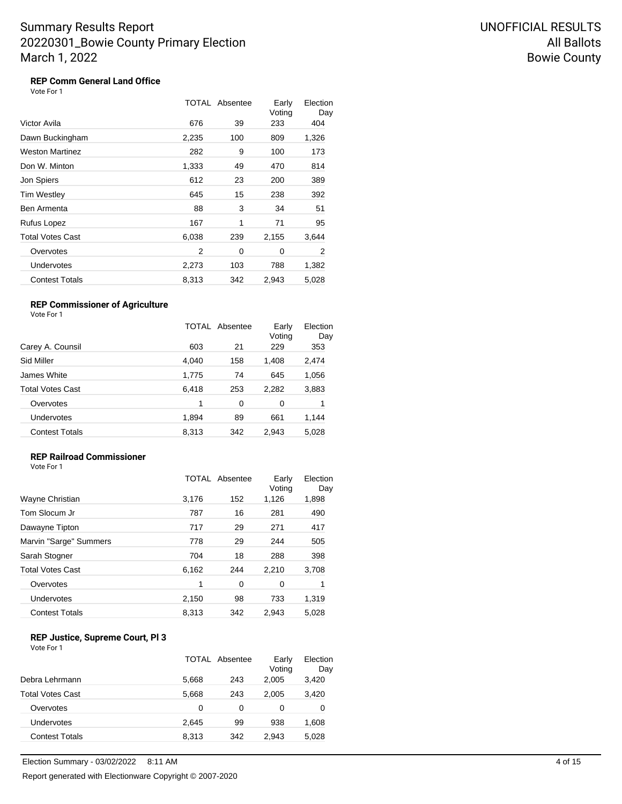# **REP Comm General Land Office**

|                         |       | TOTAL Absentee | Early<br>Voting | Election<br>Day |
|-------------------------|-------|----------------|-----------------|-----------------|
| Victor Avila            | 676   | 39             | 233             | 404             |
| Dawn Buckingham         | 2,235 | 100            | 809             | 1,326           |
| Weston Martinez         | 282   | 9              | 100             | 173             |
| Don W. Minton           | 1,333 | 49             | 470             | 814             |
| Jon Spiers              | 612   | 23             | 200             | 389             |
| Tim Westley             | 645   | 15             | 238             | 392             |
| Ben Armenta             | 88    | 3              | 34              | 51              |
| Rufus Lopez             | 167   | 1              | 71              | 95              |
| <b>Total Votes Cast</b> | 6,038 | 239            | 2,155           | 3,644           |
| Overvotes               | 2     | 0              | 0               | 2               |
| Undervotes              | 2,273 | 103            | 788             | 1,382           |
| <b>Contest Totals</b>   | 8,313 | 342            | 2,943           | 5,028           |

#### **REP Commissioner of Agriculture** Vote For 1

|                         |       | TOTAL Absentee | Early<br>Voting | Election<br>Day |
|-------------------------|-------|----------------|-----------------|-----------------|
| Carey A. Counsil        | 603   | 21             | 229             | 353             |
| Sid Miller              | 4,040 | 158            | 1,408           | 2,474           |
| James White             | 1,775 | 74             | 645             | 1,056           |
| <b>Total Votes Cast</b> | 6,418 | 253            | 2,282           | 3,883           |
| Overvotes               | 1     | 0              | 0               | 1               |
| Undervotes              | 1,894 | 89             | 661             | 1,144           |
| <b>Contest Totals</b>   | 8,313 | 342            | 2,943           | 5,028           |

#### **REP Railroad Commissioner**

Vote For 1

|                        |       | <b>TOTAL Absentee</b> | Early<br>Voting | Election<br>Day |
|------------------------|-------|-----------------------|-----------------|-----------------|
| Wayne Christian        | 3,176 | 152                   | 1,126           | 1,898           |
| Tom Slocum Jr          | 787   | 16                    | 281             | 490             |
| Dawayne Tipton         | 717   | 29                    | 271             | 417             |
| Marvin "Sarge" Summers | 778   | 29                    | 244             | 505             |
| Sarah Stogner          | 704   | 18                    | 288             | 398             |
| Total Votes Cast       | 6,162 | 244                   | 2,210           | 3,708           |
| Overvotes              | 1     | 0                     | 0               |                 |
| Undervotes             | 2,150 | 98                    | 733             | 1,319           |
| <b>Contest Totals</b>  | 8,313 | 342                   | 2,943           | 5,028           |
|                        |       |                       |                 |                 |

#### **REP Justice, Supreme Court, Pl 3** Vote For 1

|                         |       | TOTAL Absentee | Early<br>Voting | Election<br>Day |
|-------------------------|-------|----------------|-----------------|-----------------|
| Debra Lehrmann          | 5,668 | 243            | 2,005           | 3,420           |
| <b>Total Votes Cast</b> | 5,668 | 243            | 2.005           | 3,420           |
| Overvotes               | 0     | 0              | 0               | 0               |
| Undervotes              | 2.645 | 99             | 938             | 1,608           |
| <b>Contest Totals</b>   | 8,313 | 342            | 2.943           | 5,028           |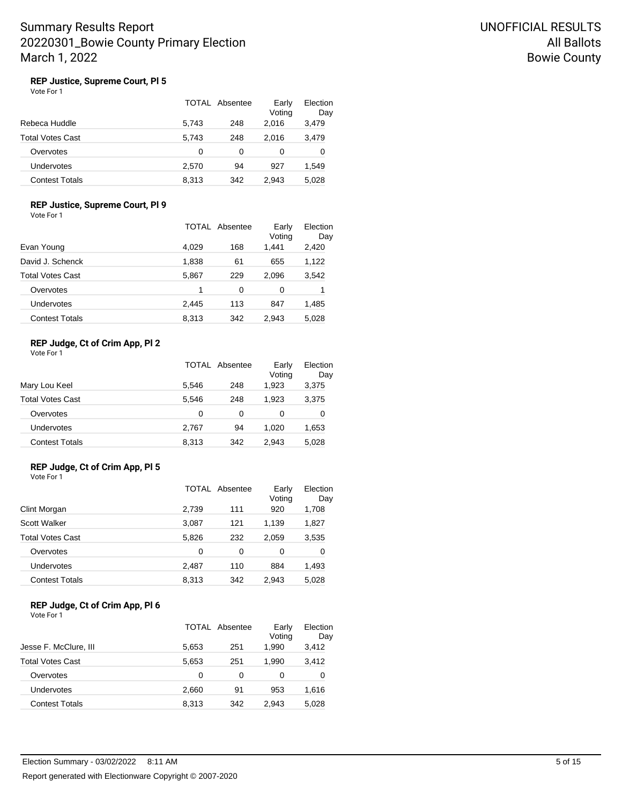## **REP Justice, Supreme Court, Pl 5**

| Vote For 1 |  |
|------------|--|
|------------|--|

|                       |       | TOTAL Absentee | Early<br>Voting | Election<br>Day |
|-----------------------|-------|----------------|-----------------|-----------------|
| Rebeca Huddle         | 5.743 | 248            | 2.016           | 3,479           |
| Total Votes Cast      | 5.743 | 248            | 2.016           | 3,479           |
| Overvotes             | 0     | 0              | 0               | 0               |
| Undervotes            | 2,570 | 94             | 927             | 1,549           |
| <b>Contest Totals</b> | 8.313 | 342            | 2.943           | 5.028           |

### **REP Justice, Supreme Court, Pl 9**

Vote For 1

|                       |       | TOTAL Absentee | Early<br>Voting | Election<br>Day |
|-----------------------|-------|----------------|-----------------|-----------------|
| Evan Young            | 4,029 | 168            | 1,441           | 2,420           |
| David J. Schenck      | 1,838 | 61             | 655             | 1,122           |
| Total Votes Cast      | 5,867 | 229            | 2.096           | 3,542           |
| Overvotes             | 1     | 0              | 0               | 1               |
| Undervotes            | 2,445 | 113            | 847             | 1,485           |
| <b>Contest Totals</b> | 8,313 | 342            | 2.943           | 5,028           |

### **REP Judge, Ct of Crim App, Pl 2**

| Vote For 1 |  |  |
|------------|--|--|
|------------|--|--|

|                         |       | TOTAL Absentee | Early<br>Voting | Election<br>Day |
|-------------------------|-------|----------------|-----------------|-----------------|
| Mary Lou Keel           | 5.546 | 248            | 1.923           | 3,375           |
| <b>Total Votes Cast</b> | 5.546 | 248            | 1.923           | 3,375           |
| Overvotes               | 0     | 0              | 0               | 0               |
| Undervotes              | 2,767 | 94             | 1.020           | 1,653           |
| <b>Contest Totals</b>   | 8,313 | 342            | 2.943           | 5,028           |

#### **REP Judge, Ct of Crim App, Pl 5** Vote For 1

|                         | TOTAL | Absentee | Early<br>Voting | Election<br>Day |
|-------------------------|-------|----------|-----------------|-----------------|
| Clint Morgan            | 2,739 | 111      | 920             | 1,708           |
| <b>Scott Walker</b>     | 3,087 | 121      | 1,139           | 1,827           |
| <b>Total Votes Cast</b> | 5,826 | 232      | 2.059           | 3,535           |
| Overvotes               | 0     | 0        | 0               | 0               |
| Undervotes              | 2,487 | 110      | 884             | 1,493           |
| <b>Contest Totals</b>   | 8.313 | 342      | 2.943           | 5.028           |

#### **REP Judge, Ct of Crim App, Pl 6** Vote For 1

|                         |       | <b>TOTAL Absentee</b> | Early<br>Voting | Election<br>Day |
|-------------------------|-------|-----------------------|-----------------|-----------------|
| Jesse F. McClure, III   | 5,653 | 251                   | 1.990           | 3,412           |
| <b>Total Votes Cast</b> | 5,653 | 251                   | 1.990           | 3,412           |
| Overvotes               | 0     | 0                     | 0               | 0               |
| Undervotes              | 2,660 | 91                    | 953             | 1,616           |
| <b>Contest Totals</b>   | 8,313 | 342                   | 2.943           | 5,028           |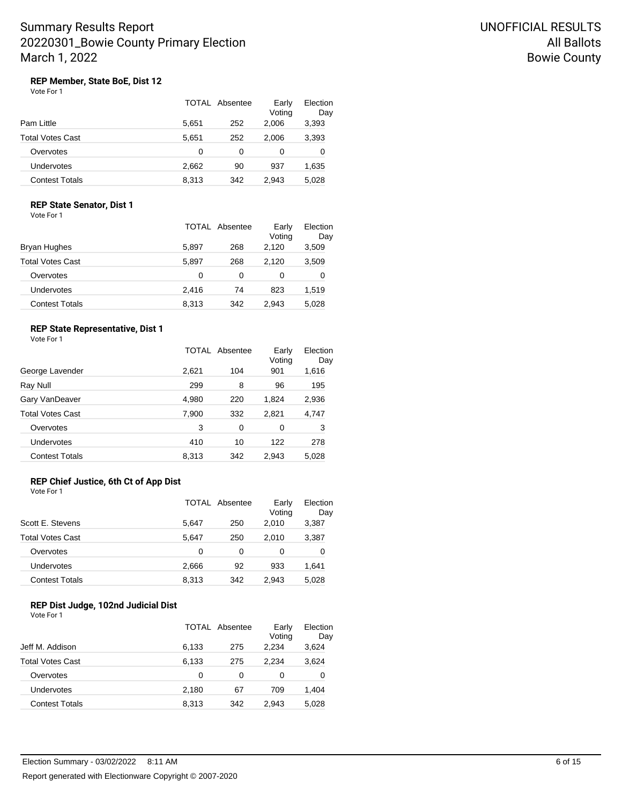## **REP Member, State BoE, Dist 12**

|                  |       | TOTAL Absentee | Early<br>Voting | Election<br>Day |
|------------------|-------|----------------|-----------------|-----------------|
| Pam Little       | 5.651 | 252            | 2.006           | 3,393           |
| Total Votes Cast | 5.651 | 252            | 2.006           | 3,393           |
| Overvotes        | 0     | 0              | 0               | 0               |
| Undervotes       | 2,662 | 90             | 937             | 1,635           |
| Contest Totals   | 8,313 | 342            | 2.943           | 5.028           |

#### **REP State Senator, Dist 1**

Vote For 1

|                       |       | TOTAL Absentee | Early<br>Voting | Election<br>Day |
|-----------------------|-------|----------------|-----------------|-----------------|
| Bryan Hughes          | 5,897 | 268            | 2.120           | 3,509           |
| Total Votes Cast      | 5.897 | 268            | 2.120           | 3,509           |
| Overvotes             | 0     | 0              | 0               | 0               |
| Undervotes            | 2.416 | 74             | 823             | 1,519           |
| <b>Contest Totals</b> | 8,313 | 342            | 2.943           | 5,028           |

#### **REP State Representative, Dist 1**

Vote For 1

|                       |       | TOTAL Absentee | Early<br>Voting | Election<br>Day |
|-----------------------|-------|----------------|-----------------|-----------------|
| George Lavender       | 2,621 | 104            | 901             | 1,616           |
| Ray Null              | 299   | 8              | 96              | 195             |
| Gary VanDeaver        | 4,980 | 220            | 1,824           | 2,936           |
| Total Votes Cast      | 7,900 | 332            | 2,821           | 4,747           |
| Overvotes             | 3     | 0              | 0               | 3               |
| Undervotes            | 410   | 10             | 122             | 278             |
| <b>Contest Totals</b> | 8,313 | 342            | 2,943           | 5,028           |
|                       |       |                |                 |                 |

# **REP Chief Justice, 6th Ct of App Dist**

Vote For 1

|                         |       | TOTAL Absentee | Early<br>Voting | Election<br>Day |
|-------------------------|-------|----------------|-----------------|-----------------|
| Scott E. Stevens        | 5.647 | 250            | 2.010           | 3,387           |
| <b>Total Votes Cast</b> | 5.647 | 250            | 2.010           | 3,387           |
| Overvotes               | 0     | 0              | 0               | 0               |
| Undervotes              | 2.666 | 92             | 933             | 1,641           |
| <b>Contest Totals</b>   | 8,313 | 342            | 2.943           | 5,028           |

# **REP Dist Judge, 102nd Judicial Dist**

|                         |       | TOTAL Absentee | Early<br>Voting | Election<br>Day |
|-------------------------|-------|----------------|-----------------|-----------------|
| Jeff M. Addison         | 6,133 | 275            | 2,234           | 3,624           |
| <b>Total Votes Cast</b> | 6,133 | 275            | 2.234           | 3,624           |
| Overvotes               | 0     | 0              | 0               | 0               |
| Undervotes              | 2,180 | 67             | 709             | 1,404           |
| <b>Contest Totals</b>   | 8,313 | 342            | 2.943           | 5,028           |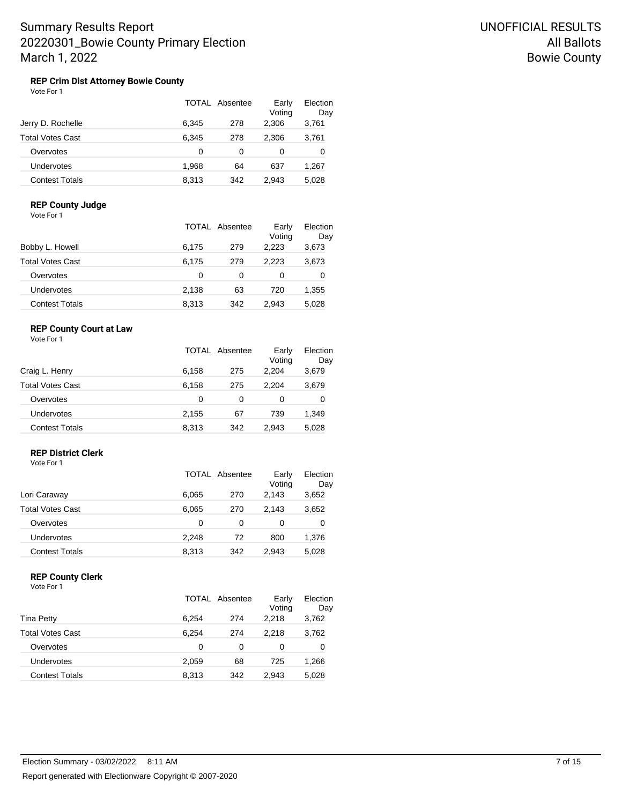#### **REP Crim Dist Attorney Bowie County** Vote For 1

|                         |       | TOTAL Absentee | Early<br>Voting | Election<br>Day |
|-------------------------|-------|----------------|-----------------|-----------------|
| Jerry D. Rochelle       | 6.345 | 278            | 2.306           | 3,761           |
| <b>Total Votes Cast</b> | 6.345 | 278            | 2.306           | 3,761           |
| Overvotes               | 0     | 0              | 0               | 0               |
| <b>Undervotes</b>       | 1.968 | 64             | 637             | 1,267           |
| <b>Contest Totals</b>   | 8.313 | 342            | 2.943           | 5.028           |

#### **REP County Judge**

Vote For 1

|                       |       | TOTAL Absentee | Early<br>Voting | Election<br>Day |
|-----------------------|-------|----------------|-----------------|-----------------|
| Bobby L. Howell       | 6,175 | 279            | 2.223           | 3,673           |
| Total Votes Cast      | 6,175 | 279            | 2.223           | 3,673           |
| Overvotes             | 0     | 0              | 0               | 0               |
| Undervotes            | 2,138 | 63             | 720             | 1,355           |
| <b>Contest Totals</b> | 8,313 | 342            | 2.943           | 5,028           |

### **REP County Court at Law**

Vote For 1

|                       |       | TOTAL Absentee | Early<br>Voting | Election<br>Day |
|-----------------------|-------|----------------|-----------------|-----------------|
| Craig L. Henry        | 6,158 | 275            | 2.204           | 3,679           |
| Total Votes Cast      | 6,158 | 275            | 2.204           | 3,679           |
| Overvotes             | 0     | 0              | 0               | 0               |
| Undervotes            | 2,155 | 67             | 739             | 1,349           |
| <b>Contest Totals</b> | 8,313 | 342            | 2.943           | 5,028           |

# **REP District Clerk**

Vote For 1

|                       |       | TOTAL Absentee | Early<br>Voting | Election<br>Day |
|-----------------------|-------|----------------|-----------------|-----------------|
| Lori Caraway          | 6,065 | 270            | 2.143           | 3,652           |
| Total Votes Cast      | 6,065 | 270            | 2.143           | 3,652           |
| Overvotes             | 0     | 0              | 0               | 0               |
| Undervotes            | 2.248 | 72             | 800             | 1,376           |
| <b>Contest Totals</b> | 8,313 | 342            | 2.943           | 5,028           |

### **REP County Clerk**

|                         |       | TOTAL Absentee | Early<br>Voting | Election<br>Day |
|-------------------------|-------|----------------|-----------------|-----------------|
| Tina Petty              | 6.254 | 274            | 2.218           | 3,762           |
| <b>Total Votes Cast</b> | 6.254 | 274            | 2.218           | 3,762           |
| Overvotes               | 0     | 0              | 0               | 0               |
| Undervotes              | 2,059 | 68             | 725             | 1,266           |
| <b>Contest Totals</b>   | 8.313 | 342            | 2.943           | 5.028           |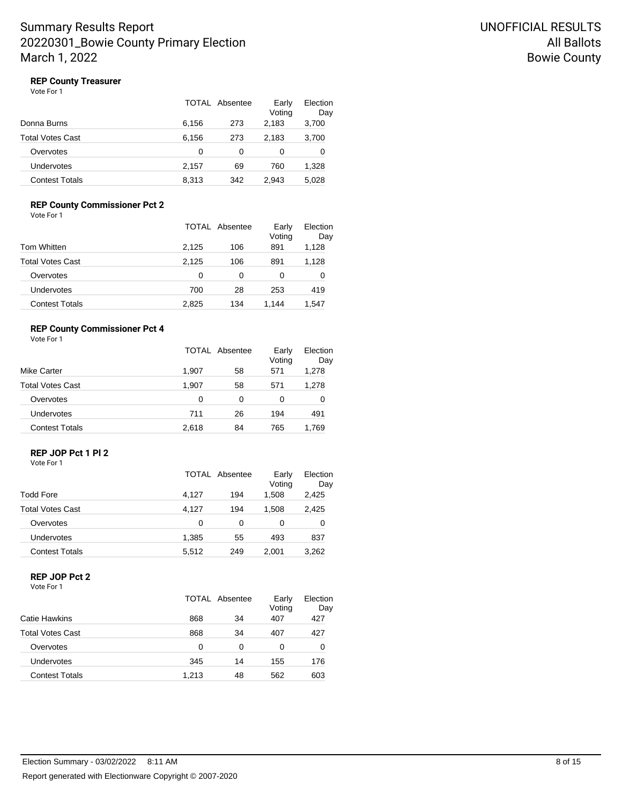Vote For 1

|                       |       | TOTAL Absentee | Early<br>Voting | Election<br>Day |
|-----------------------|-------|----------------|-----------------|-----------------|
| Donna Burns           | 6,156 | 273            | 2,183           | 3,700           |
| Total Votes Cast      | 6,156 | 273            | 2,183           | 3,700           |
| Overvotes             | 0     | 0              | 0               | 0               |
| Undervotes            | 2.157 | 69             | 760             | 1,328           |
| <b>Contest Totals</b> | 8,313 | 342            | 2.943           | 5,028           |

### **REP County Commissioner Pct 2**

Vote For 1

|                       |       | <b>TOTAL Absentee</b> | Early<br>Voting | Election<br>Day |
|-----------------------|-------|-----------------------|-----------------|-----------------|
| Tom Whitten           | 2,125 | 106                   | 891             | 1,128           |
| Total Votes Cast      | 2.125 | 106                   | 891             | 1,128           |
| Overvotes             | 0     | 0                     | 0               | 0               |
| <b>Undervotes</b>     | 700   | 28                    | 253             | 419             |
| <b>Contest Totals</b> | 2,825 | 134                   | 1.144           | 1,547           |

#### **REP County Commissioner Pct 4**

Vote For 1

| Mike Carter             |       | TOTAL Absentee |     | Election<br>Day |  |
|-------------------------|-------|----------------|-----|-----------------|--|
|                         | 1.907 | 58             | 571 | 1,278           |  |
| <b>Total Votes Cast</b> | 1,907 | 58             | 571 | 1,278           |  |
| Overvotes               | 0     | 0              | 0   | 0               |  |
| Undervotes              | 711   | 26             | 194 | 491             |  |
| <b>Contest Totals</b>   | 2,618 | 84             | 765 | 1,769           |  |

# **REP JOP Pct 1 Pl 2**

Vote For 1

|                         |       | TOTAL Absentee | Early<br>Voting | Election<br>Day |
|-------------------------|-------|----------------|-----------------|-----------------|
| Todd Fore               | 4,127 | 194            | 1,508           | 2,425           |
| <b>Total Votes Cast</b> | 4.127 | 194            | 1,508           | 2,425           |
| Overvotes               | 0     | 0              | 0               | 0               |
| Undervotes              | 1.385 | 55             | 493             | 837             |
| <b>Contest Totals</b>   | 5,512 | 249            | 2.001           | 3,262           |

### **REP JOP Pct 2**

|                         | TOTAL Absentee |    | Early<br>Voting | Election<br>Day |
|-------------------------|----------------|----|-----------------|-----------------|
| Catie Hawkins           | 868            | 34 | 407             | 427             |
| <b>Total Votes Cast</b> | 868            | 34 | 407             | 427             |
| Overvotes               | O              | 0  | 0               | 0               |
| Undervotes              | 345            | 14 | 155             | 176             |
| <b>Contest Totals</b>   | 1.213          | 48 | 562             | 603             |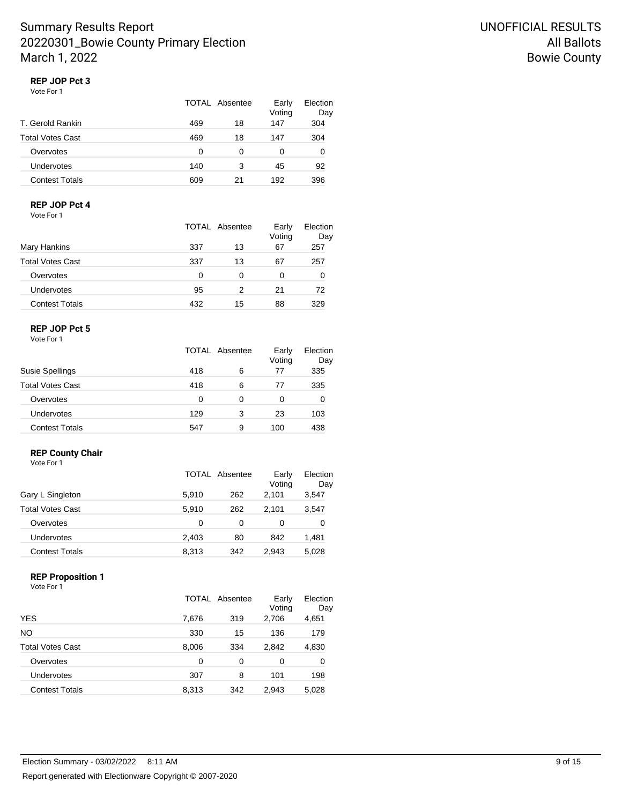# **REP JOP Pct 3**

Vote For 1

|     |    | Early<br>Voting | Election<br>Day |
|-----|----|-----------------|-----------------|
| 469 | 18 | 147             | 304             |
| 469 | 18 | 147             | 304             |
| 0   | 0  | 0               | 0               |
| 140 | 3  | 45              | 92              |
| 609 | 21 | 192             | 396             |
|     |    | TOTAL Absentee  |                 |

### **REP JOP Pct 4**

Vote For 1

|                         |     | TOTAL Absentee | Early<br>Voting | Election<br>Day |
|-------------------------|-----|----------------|-----------------|-----------------|
| Mary Hankins            | 337 | 13             | 67              | 257             |
| <b>Total Votes Cast</b> | 337 | 13             | 67              | 257             |
| Overvotes               | 0   | 0              | 0               | 0               |
| Undervotes              | 95  | 2              | 21              | 72              |
| <b>Contest Totals</b>   | 432 | 15             | 88              | 329             |

### **REP JOP Pct 5**

Vote For 1

|                         | TOTAL Absentee |   | Early<br>Voting | Election<br>Day |
|-------------------------|----------------|---|-----------------|-----------------|
| Susie Spellings         | 418            | 6 | 77              | 335             |
| <b>Total Votes Cast</b> | 418            | 6 | 77              | 335             |
| Overvotes               | 0              | 0 | 0               | 0               |
| Undervotes              | 129            | 3 | 23              | 103             |
| <b>Contest Totals</b>   | 547            | 9 | 100             | 438             |

# **REP County Chair**

| Vote For 1              |       |          |                 |                 |
|-------------------------|-------|----------|-----------------|-----------------|
|                         | TOTAL | Absentee | Early<br>Voting | Election<br>Day |
| Gary L Singleton        | 5,910 | 262      | 2,101           | 3,547           |
| <b>Total Votes Cast</b> | 5,910 | 262      | 2,101           | 3,547           |
| Overvotes               | 0     | 0        | 0               | 0               |
| Undervotes              | 2,403 | 80       | 842             | 1,481           |
| <b>Contest Totals</b>   | 8.313 | 342      | 2,943           | 5.028           |

#### **REP Proposition 1**

|                         |       | TOTAL Absentee | Early<br>Voting | Election<br>Day |
|-------------------------|-------|----------------|-----------------|-----------------|
| YES                     | 7,676 | 319            | 2,706           | 4,651           |
| NO                      | 330   | 15             | 136             | 179             |
| <b>Total Votes Cast</b> | 8,006 | 334            | 2,842           | 4,830           |
| Overvotes               | 0     | 0              | 0               | 0               |
| Undervotes              | 307   | 8              | 101             | 198             |
| <b>Contest Totals</b>   | 8,313 | 342            | 2,943           | 5,028           |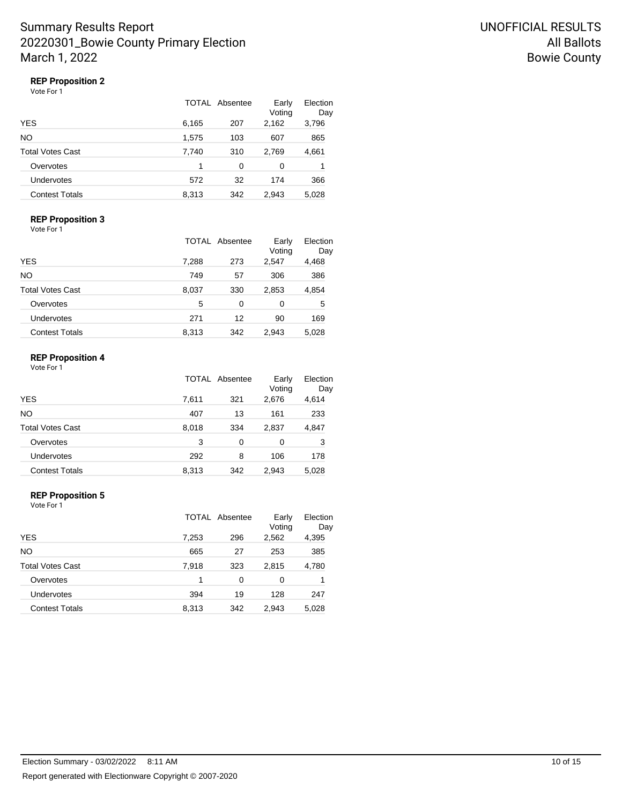### **REP Proposition 2**

Vote For 1

|                       |       | TOTAL Absentee | Early<br>Voting | Election<br>Day |
|-----------------------|-------|----------------|-----------------|-----------------|
| YES                   | 6,165 | 207            | 2,162           | 3,796           |
| NO                    | 1,575 | 103            | 607             | 865             |
| Total Votes Cast      | 7,740 | 310            | 2,769           | 4,661           |
| Overvotes             | 1     | 0              | 0               |                 |
| Undervotes            | 572   | 32             | 174             | 366             |
| <b>Contest Totals</b> | 8,313 | 342            | 2.943           | 5,028           |

### **REP Proposition 3**

Vote For 1

|                       |       | <b>TOTAL Absentee</b> | Early<br>Voting | Election<br>Day |
|-----------------------|-------|-----------------------|-----------------|-----------------|
| <b>YES</b>            | 7,288 | 273                   | 2,547           | 4,468           |
| NΟ                    | 749   | 57                    | 306             | 386             |
| Total Votes Cast      | 8,037 | 330                   | 2,853           | 4,854           |
| Overvotes             | 5     | 0                     | 0               | 5               |
| Undervotes            | 271   | 12                    | 90              | 169             |
| <b>Contest Totals</b> | 8,313 | 342                   | 2.943           | 5,028           |

#### **REP Proposition 4**

| Vote For 1 |  |  |
|------------|--|--|
|            |  |  |

|                       |       | <b>TOTAL Absentee</b> | Early<br>Voting | Election<br>Day |
|-----------------------|-------|-----------------------|-----------------|-----------------|
| <b>YES</b>            | 7,611 | 321                   | 2,676           | 4,614           |
| NΟ                    | 407   | 13                    | 161             | 233             |
| Total Votes Cast      | 8,018 | 334                   | 2,837           | 4,847           |
| Overvotes             | 3     | 0                     | 0               | 3               |
| Undervotes            | 292   | 8                     | 106             | 178             |
| <b>Contest Totals</b> | 8,313 | 342                   | 2,943           | 5,028           |

#### **REP Proposition 5**

|                       |       | TOTAL Absentee | Early<br>Voting | Election<br>Day |
|-----------------------|-------|----------------|-----------------|-----------------|
| YES                   | 7,253 | 296            | 2,562           | 4,395           |
| NO                    | 665   | 27             | 253             | 385             |
| Total Votes Cast      | 7,918 | 323            | 2,815           | 4,780           |
| Overvotes             | 1     | 0              | 0               |                 |
| Undervotes            | 394   | 19             | 128             | 247             |
| <b>Contest Totals</b> | 8,313 | 342            | 2,943           | 5,028           |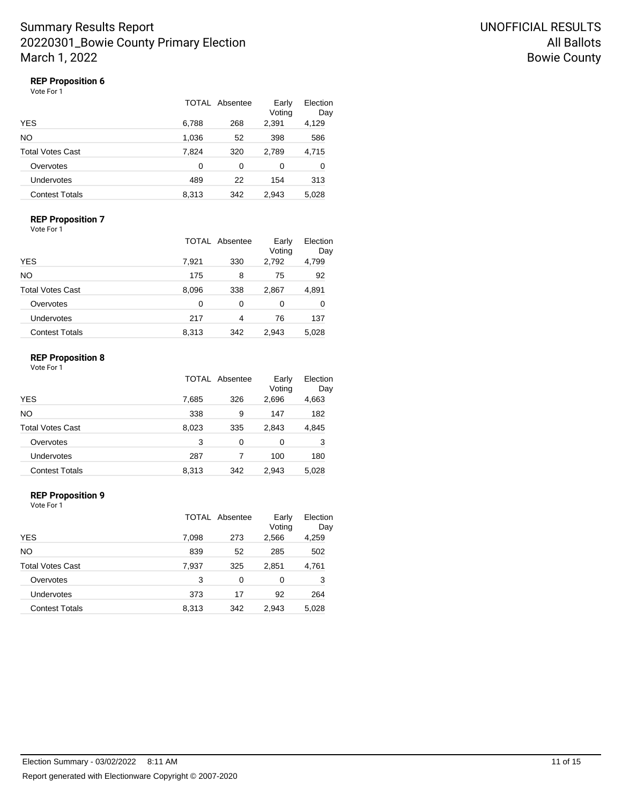## **REP Proposition 6**

| Vote For 1 |  |
|------------|--|
|------------|--|

|                       | TOTAL Absentee | Early<br>Voting | Election<br>Day |       |
|-----------------------|----------------|-----------------|-----------------|-------|
| YES                   | 6,788          | 268             | 2,391           | 4,129 |
| NO.                   | 1,036          | 52              | 398             | 586   |
| Total Votes Cast      | 7,824          | 320             | 2,789           | 4,715 |
| Overvotes             | 0              | 0               | 0               | 0     |
| Undervotes            | 489            | 22              | 154             | 313   |
| <b>Contest Totals</b> | 8,313          | 342             | 2.943           | 5,028 |

### **REP Proposition 7**

| Vote For 1 |  |
|------------|--|
|------------|--|

|                       |       | TOTAL Absentee | Early<br>Voting | Election<br>Day |
|-----------------------|-------|----------------|-----------------|-----------------|
| YES                   | 7,921 | 330            | 2,792           | 4,799           |
| NΟ                    | 175   | 8              | 75              | 92              |
| Total Votes Cast      | 8,096 | 338            | 2,867           | 4,891           |
| Overvotes             | 0     | 0              | 0               | 0               |
| Undervotes            | 217   | 4              | 76              | 137             |
| <b>Contest Totals</b> | 8,313 | 342            | 2,943           | 5,028           |

#### **REP Proposition 8**

| Vote For 1 |  |
|------------|--|
|            |  |

|                       |       | <b>TOTAL Absentee</b> | Early<br>Voting | Election<br>Day |
|-----------------------|-------|-----------------------|-----------------|-----------------|
| <b>YES</b>            | 7,685 | 326                   | 2,696           | 4,663           |
| NΟ                    | 338   | 9                     | 147             | 182             |
| Total Votes Cast      | 8,023 | 335                   | 2,843           | 4,845           |
| Overvotes             | 3     | 0                     | 0               | 3               |
| Undervotes            | 287   |                       | 100             | 180             |
| <b>Contest Totals</b> | 8,313 | 342                   | 2,943           | 5,028           |

#### **REP Proposition 9**

|                       |       | TOTAL Absentee | Early<br>Voting | Election<br>Day |
|-----------------------|-------|----------------|-----------------|-----------------|
| YES                   | 7,098 | 273            | 2,566           | 4,259           |
| NO                    | 839   | 52             | 285             | 502             |
| Total Votes Cast      | 7,937 | 325            | 2,851           | 4,761           |
| Overvotes             | 3     | 0              | 0               | 3               |
| Undervotes            | 373   | 17             | 92              | 264             |
| <b>Contest Totals</b> | 8,313 | 342            | 2,943           | 5,028           |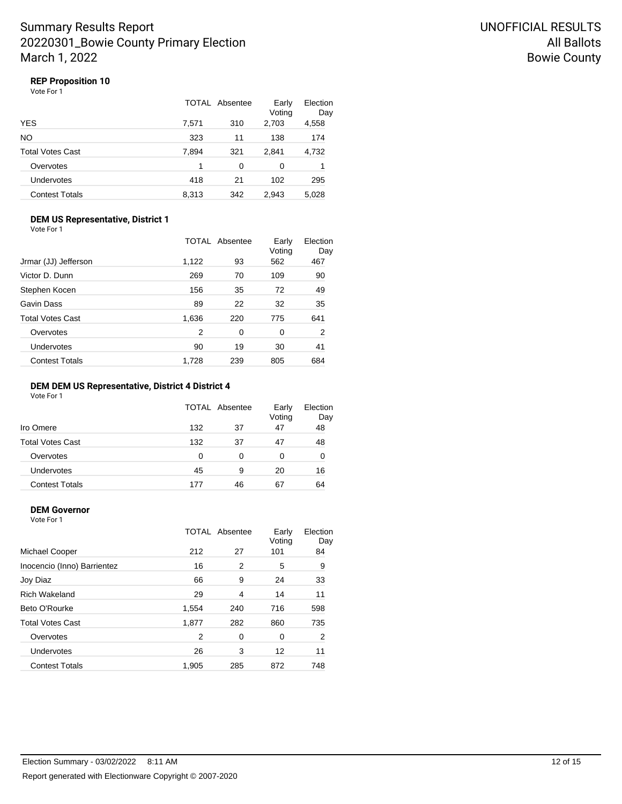## **REP Proposition 10**

Vote For 1

|                       |       | TOTAL Absentee | Early<br>Voting | Election<br>Day |
|-----------------------|-------|----------------|-----------------|-----------------|
| YES                   | 7,571 | 310            | 2,703           | 4,558           |
| NO                    | 323   | 11             | 138             | 174             |
| Total Votes Cast      | 7,894 | 321            | 2.841           | 4,732           |
| Overvotes             | 1     | 0              | 0               |                 |
| Undervotes            | 418   | 21             | 102             | 295             |
| <b>Contest Totals</b> | 8,313 | 342            | 2,943           | 5,028           |

#### **DEM US Representative, District 1** Vote For 1

|                         |       | TOTAL Absentee |               | Election<br>Day |
|-------------------------|-------|----------------|---------------|-----------------|
| Jrmar (JJ) Jefferson    | 1,122 | 93             | Voting<br>562 | 467             |
| Victor D. Dunn          | 269   | 70             | 109           | 90              |
| Stephen Kocen           | 156   | 35             | 72            | 49              |
| Gavin Dass              | 89    | 22             | 32            | 35              |
| <b>Total Votes Cast</b> | 1,636 | 220            | 775           | 641             |
| Overvotes               | 2     | 0              | 0             | $\overline{2}$  |
| Undervotes              | 90    | 19             | 30            | 41              |
| <b>Contest Totals</b>   | 1.728 | 239            | 805           | 684             |

#### **DEM DEM US Representative, District 4 District 4**

Vote For 1

|                         |     | TOTAL Absentee | Early<br>Voting | Election<br>Day |
|-------------------------|-----|----------------|-----------------|-----------------|
| Iro Omere               | 132 | 37             | 47              | 48              |
| <b>Total Votes Cast</b> | 132 | 37             | 47              | 48              |
| Overvotes               | 0   | 0              | 0               | 0               |
| Undervotes              | 45  | 9              | 20              | 16              |
| <b>Contest Totals</b>   | 177 | 46             | 67              | 64              |

#### **DEM Governor**

|                             |       | TOTAL Absentee | Early<br>Voting | Election<br>Day |
|-----------------------------|-------|----------------|-----------------|-----------------|
| Michael Cooper              | 212   | 27             | 101             | 84              |
| Inocencio (Inno) Barrientez | 16    | 2              | 5               | 9               |
| Joy Diaz                    | 66    | 9              | 24              | 33              |
| <b>Rich Wakeland</b>        | 29    | 4              | 14              | 11              |
| Beto O'Rourke               | 1,554 | 240            | 716             | 598             |
| <b>Total Votes Cast</b>     | 1,877 | 282            | 860             | 735             |
| Overvotes                   | 2     | 0              | 0               | 2               |
| Undervotes                  | 26    | 3              | 12              | 11              |
| <b>Contest Totals</b>       | 1,905 | 285            | 872             | 748             |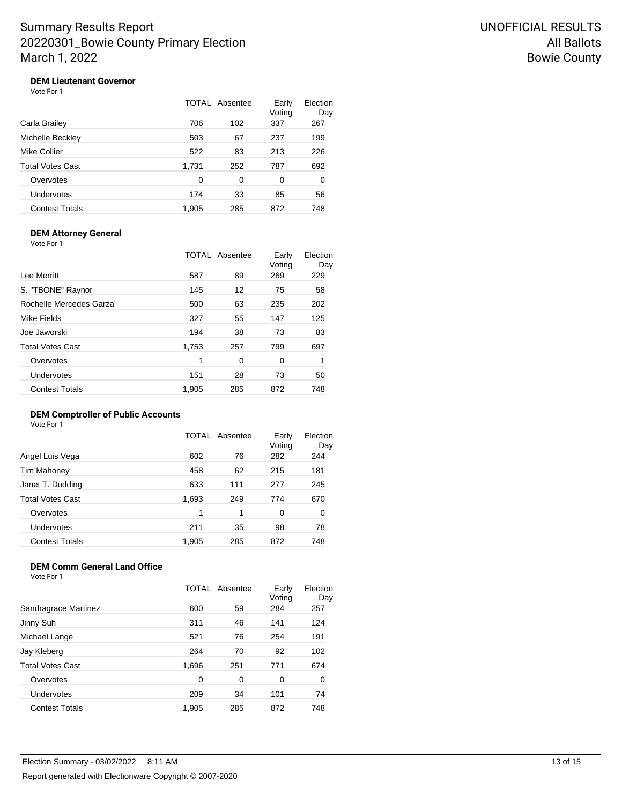## **DEM Lieutenant Governor**

Vote For 1

|                       |       | TOTAL Absentee | Early<br>Voting | Election<br>Day |
|-----------------------|-------|----------------|-----------------|-----------------|
| Carla Brailey         | 706   | 102            | 337             | 267             |
| Michelle Beckley      | 503   | 67             | 237             | 199             |
| Mike Collier          | 522   | 83             | 213             | 226             |
| Total Votes Cast      | 1,731 | 252            | 787             | 692             |
| Overvotes             | 0     | 0              | 0               | 0               |
| Undervotes            | 174   | 33             | 85              | 56              |
| <b>Contest Totals</b> | 1,905 | 285            | 872             | 748             |

#### **DEM Attorney General**

Vote For 1

|                         |       | <b>TOTAL Absentee</b> | Early<br>Voting | Election<br>Day |
|-------------------------|-------|-----------------------|-----------------|-----------------|
| Lee Merritt             | 587   | 89                    | 269             | 229             |
| S. "TBONE" Raynor       | 145   | 12                    | 75              | 58              |
| Rochelle Mercedes Garza | 500   | 63                    | 235             | 202             |
| Mike Fields             | 327   | 55                    | 147             | 125             |
| Joe Jaworski            | 194   | 38                    | 73              | 83              |
| Total Votes Cast        | 1,753 | 257                   | 799             | 697             |
| Overvotes               | 1     | 0                     | 0               | 1               |
| Undervotes              | 151   | 28                    | 73              | 50              |
| <b>Contest Totals</b>   | 1,905 | 285                   | 872             | 748             |
|                         |       |                       |                 |                 |

# **DEM Comptroller of Public Accounts**

Vote For 1

|                       | TOTAL | Absentee | Early<br>Voting | Election<br>Day |
|-----------------------|-------|----------|-----------------|-----------------|
| Angel Luis Vega       | 602   | 76       | 282             | 244             |
| Tim Mahoney           | 458   | 62       | 215             | 181             |
| Janet T. Dudding      | 633   | 111      | 277             | 245             |
| Total Votes Cast      | 1,693 | 249      | 774             | 670             |
| Overvotes             | 1     | 1        | 0               | 0               |
| <b>Undervotes</b>     | 211   | 35       | 98              | 78              |
| <b>Contest Totals</b> | 1.905 | 285      | 872             | 748             |

### **DEM Comm General Land Office**

|                         | TOTAL | Absentee | Early<br>Voting | Election<br>Day |
|-------------------------|-------|----------|-----------------|-----------------|
| Sandragrace Martinez    | 600   | 59       | 284             | 257             |
| Jinny Suh               | 311   | 46       | 141             | 124             |
| Michael Lange           | 521   | 76       | 254             | 191             |
| Jay Kleberg             | 264   | 70       | 92              | 102             |
| <b>Total Votes Cast</b> | 1,696 | 251      | 771             | 674             |
| Overvotes               | 0     | 0        | 0               | 0               |
| Undervotes              | 209   | 34       | 101             | 74              |
| <b>Contest Totals</b>   | 1,905 | 285      | 872             | 748             |
|                         |       |          |                 |                 |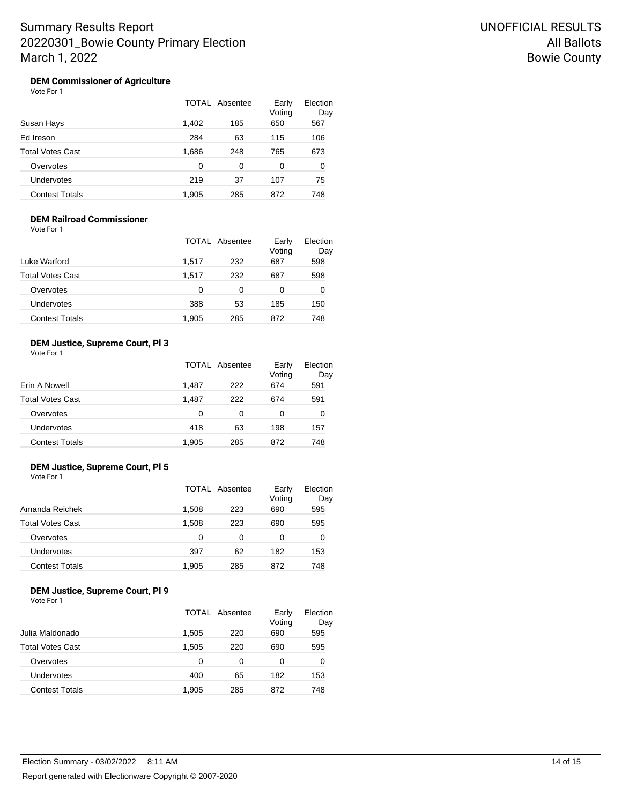#### **DEM Commissioner of Agriculture** Vote For 1

|                         |       | TOTAL Absentee | Early<br>Voting | Election<br>Day |
|-------------------------|-------|----------------|-----------------|-----------------|
| Susan Hays              | 1,402 | 185            | 650             | 567             |
| Ed Ireson               | 284   | 63             | 115             | 106             |
| <b>Total Votes Cast</b> | 1,686 | 248            | 765             | 673             |
| Overvotes               | 0     | 0              | 0               | 0               |
| Undervotes              | 219   | 37             | 107             | 75              |
| Contest Totals          | 1.905 | 285            | 872             | 748             |

## **DEM Railroad Commissioner**

| Vote For 1 |  |
|------------|--|
|------------|--|

|                       |       | TOTAL Absentee | Early<br>Voting | Election<br>Day |
|-----------------------|-------|----------------|-----------------|-----------------|
| Luke Warford          | 1.517 | 232            | 687             | 598             |
| Total Votes Cast      | 1.517 | 232            | 687             | 598             |
| Overvotes             | 0     | 0              | 0               | 0               |
| Undervotes            | 388   | 53             | 185             | 150             |
| <b>Contest Totals</b> | 1,905 | 285            | 872             | 748             |

### **DEM Justice, Supreme Court, Pl 3**

| Vote For 1 |  |
|------------|--|
|------------|--|

|                         |          | TOTAL Absentee | Early<br>Voting | Election<br>Day |
|-------------------------|----------|----------------|-----------------|-----------------|
| Erin A Nowell           | 1.487    | 222            | 674             | 591             |
| <b>Total Votes Cast</b> | 1,487    | 222            | 674             | 591             |
| Overvotes               | $\Omega$ | 0              | 0               | 0               |
| Undervotes              | 418      | 63             | 198             | 157             |
| <b>Contest Totals</b>   | 1,905    | 285            | 872             | 748             |

#### **DEM Justice, Supreme Court, Pl 5**

| Vote For 1 |  |
|------------|--|
|------------|--|

|                       |       | TOTAL Absentee | Early<br>Voting | Election<br>Day |
|-----------------------|-------|----------------|-----------------|-----------------|
| Amanda Reichek        | 1,508 | 223            | 690             | 595             |
| Total Votes Cast      | 1,508 | 223            | 690             | 595             |
| Overvotes             | 0     | 0              | 0               | 0               |
| Undervotes            | 397   | 62             | 182             | 153             |
| <b>Contest Totals</b> | 1,905 | 285            | 872             | 748             |

#### **DEM Justice, Supreme Court, Pl 9** Vote For 1

|                         |       | TOTAL Absentee | Early<br>Voting | Election<br>Day |
|-------------------------|-------|----------------|-----------------|-----------------|
| Julia Maldonado         | 1.505 | 220            | 690             | 595             |
| <b>Total Votes Cast</b> | 1.505 | 220            | 690             | 595             |
| Overvotes               | 0     | 0              | 0               | 0               |
| <b>Undervotes</b>       | 400   | 65             | 182             | 153             |
| <b>Contest Totals</b>   | 1,905 | 285            | 872             | 748             |